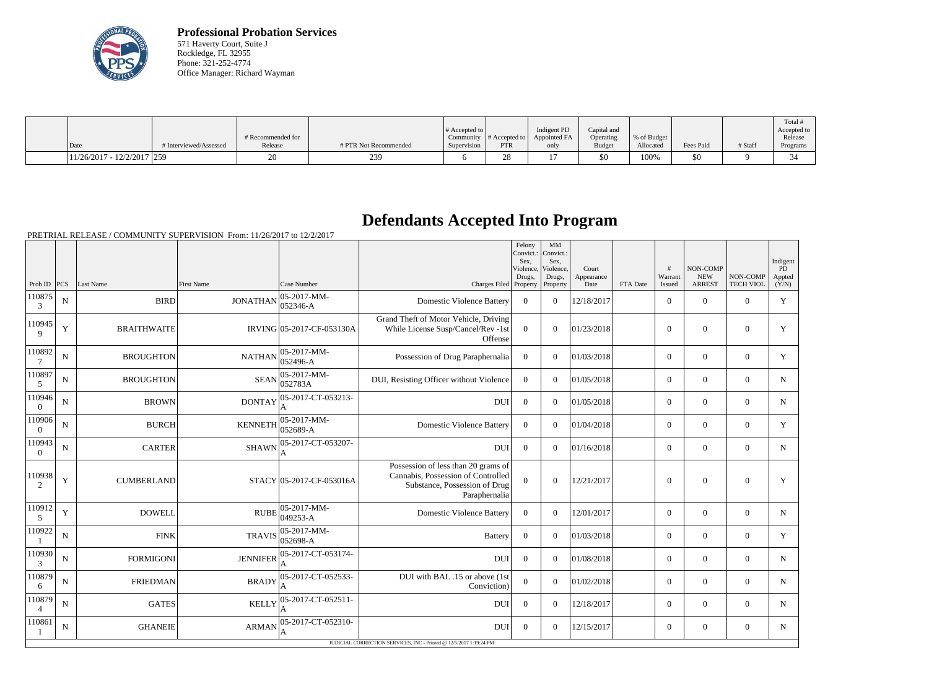

**Professional Probation Services** 571 Haverty Court, Suite J Rockledge, FL 32955 Phone: 321-252-4774 Office Manager: Richard Wayman

|                              |                        | # Recommended for |                       | # Accepted to $\vert$ |            | Indigent PD<br>Community $ #$ Accepted to $ $ Appointed FA | Capital and<br>Operating | % of Budget |           |         | Total<br>Accepted to<br>Release |
|------------------------------|------------------------|-------------------|-----------------------|-----------------------|------------|------------------------------------------------------------|--------------------------|-------------|-----------|---------|---------------------------------|
| Date                         | # Interviewed/Assessed | Release           | # PTR Not Recommended | Supervision           | <b>PTR</b> | only                                                       | <b>Budget</b>            | Allocated   | Fees Paid | # Staff | Programs                        |
| $11/26/2017 - 12/2/2017$ 259 |                        |                   | 239                   |                       | ∠∪         |                                                            | \$0                      | 100%        | \$0       |         |                                 |

## **Defendants Accepted Into Program**

PRETRIAL RELEASE / COMMUNITY SUPERVISION From: 11/26/2017 to 12/2/2017

|                          |             |                    |                   |                            |                                                                                                                             | Felony<br>Convict.:<br>Sex.<br>Violence,<br>Drugs, | MM<br>Convict.:<br>Sex.<br>Violence,<br>Drugs, | Court<br>Appearance |          | #<br>Warrant   | NON-COMP<br><b>NEW</b> | NON-COMP         | Indigent<br>PD<br>Appted |
|--------------------------|-------------|--------------------|-------------------|----------------------------|-----------------------------------------------------------------------------------------------------------------------------|----------------------------------------------------|------------------------------------------------|---------------------|----------|----------------|------------------------|------------------|--------------------------|
| Prob ID $ PCS $          |             | Last Name          | <b>First Name</b> | Case Number                | Charges Filed Property                                                                                                      |                                                    | Property                                       | Date                | FTA Date | Issued         | <b>ARREST</b>          | <b>TECH VIOL</b> | (Y/N)                    |
| 110875<br>3              | $\mathbf N$ | <b>BIRD</b>        | <b>JONATHAN</b>   | 05-2017-MM-<br>052346-A    | <b>Domestic Violence Battery</b>                                                                                            | $\theta$                                           | $\Omega$                                       | 12/18/2017          |          | $\overline{0}$ | $\mathbf{0}$           | $\overline{0}$   | Y                        |
| 110945<br>9              | $\mathbf Y$ | <b>BRAITHWAITE</b> |                   | IRVING 05-2017-CF-053130A  | Grand Theft of Motor Vehicle, Driving<br>While License Susp/Cancel/Rev -1st<br>Offense                                      | $\overline{0}$                                     | $\Omega$                                       | 01/23/2018          |          | $\theta$       | $\theta$               | $\overline{0}$   | Y                        |
| 110892                   | ${\bf N}$   | <b>BROUGHTON</b>   | <b>NATHAN</b>     | $05-2017-MM$ -<br>052496-A | Possession of Drug Paraphernalia                                                                                            | $\overline{0}$                                     | $\overline{0}$                                 | 01/03/2018          |          | $\overline{0}$ | $\mathbf{0}$           | $\mathbf{0}$     | Y                        |
| 110897<br>5              | $\mathbf N$ | <b>BROUGHTON</b>   | <b>SEAN</b>       | $05-2017-MM$ -<br>052783A  | DUI, Resisting Officer without Violence                                                                                     | $\boldsymbol{0}$                                   | $\Omega$                                       | 01/05/2018          |          | $\Omega$       | $\Omega$               | $\Omega$         | $\mathbf N$              |
| 110946<br>$\Omega$       | $\mathbf N$ | <b>BROWN</b>       | <b>DONTAY</b>     | 05-2017-CT-053213-         | DUI                                                                                                                         | $\Omega$                                           | $\Omega$                                       | 01/05/2018          |          | $\overline{0}$ | $\theta$               | $\overline{0}$   | N                        |
| 110906<br>$\theta$       | $\mathbf N$ | <b>BURCH</b>       | <b>KENNETH</b>    | $05-2017-MM$ -<br>052689-A | <b>Domestic Violence Battery</b>                                                                                            | $\overline{0}$                                     | $\Omega$                                       | 01/04/2018          |          | $\overline{0}$ | $\mathbf{0}$           | $\overline{0}$   | Y                        |
| 110943<br>$\Omega$       | $\mathbf N$ | <b>CARTER</b>      | <b>SHAWN</b>      | 05-2017-CT-053207-<br>A    | <b>DUI</b>                                                                                                                  | $\overline{0}$                                     | $\Omega$                                       | 01/16/2018          |          | $\overline{0}$ | $\theta$               | $\overline{0}$   | $\mathbf N$              |
| 110938<br>2              | Y           | <b>CUMBERLAND</b>  |                   | STACY 05-2017-CF-053016A   | Possession of less than 20 grams of<br>Cannabis, Possession of Controlled<br>Substance, Possession of Drug<br>Paraphernalia | $\overline{0}$                                     | $\overline{0}$                                 | 12/21/2017          |          | $\theta$       | $\theta$               | $\overline{0}$   | Y                        |
| 110912<br>5              | $\mathbf Y$ | <b>DOWELL</b>      | <b>RUBE</b>       | 05-2017-MM-<br>049253-A    | <b>Domestic Violence Battery</b>                                                                                            | $\mathbf{0}$                                       | $\Omega$                                       | 12/01/2017          |          | $\overline{0}$ | $\mathbf{0}$           | $\mathbf{0}$     | $\mathbf N$              |
| 110922                   | N           | <b>FINK</b>        | <b>TRAVIS</b>     | $ 05-2017-MM-$<br>052698-A | <b>Battery</b>                                                                                                              | $\boldsymbol{0}$                                   | $\Omega$                                       | 01/03/2018          |          | $\overline{0}$ | $\theta$               | $\Omega$         | Y                        |
| 110930<br>3              | $\mathbf N$ | <b>FORMIGONI</b>   | <b>JENNIFER</b>   | 05-2017-CT-053174-         | <b>DUI</b>                                                                                                                  | $\boldsymbol{0}$                                   | $\Omega$                                       | 01/08/2018          |          | $\overline{0}$ | $\theta$               | $\overline{0}$   | N                        |
| 110879<br>6              | N           | <b>FRIEDMAN</b>    | <b>BRADY</b>      | 05-2017-CT-052533-         | DUI with BAL .15 or above (1st<br>Conviction)                                                                               | $\overline{0}$                                     | $\Omega$                                       | 01/02/2018          |          | $\overline{0}$ | $\Omega$               | $\Omega$         | $\mathbf N$              |
| 110879<br>$\overline{4}$ | N           | <b>GATES</b>       | <b>KELLY</b>      | 05-2017-CT-052511-         | DUI                                                                                                                         | $\Omega$                                           | $\Omega$                                       | 12/18/2017          |          | $\Omega$       | $\Omega$               | $\Omega$         | N                        |
| 110861                   | $\mathbf N$ | <b>GHANEIE</b>     | <b>ARMAN</b>      | 05-2017-CT-052310-         | <b>DUI</b>                                                                                                                  | $\Omega$                                           | $\Omega$                                       | 12/15/2017          |          | $\overline{0}$ | $\mathbf{0}$           | $\overline{0}$   | N                        |
|                          |             |                    |                   |                            | JUDICIAL CORRECTION SERVICES, INC - Printed @ 12/5/2017 1:19:24 PM                                                          |                                                    |                                                |                     |          |                |                        |                  |                          |